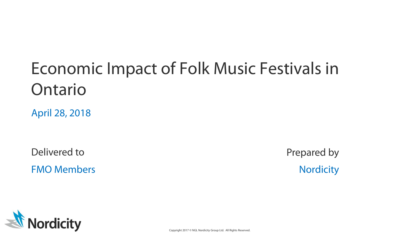# Economic Impact of Folk Music Festivals in Ontario

April 28, 2018

Delivered to Prepared by FMO Members Nordicity



Copyright 2017 © NGL Nordicity Group Ltd. All Rights Reserved.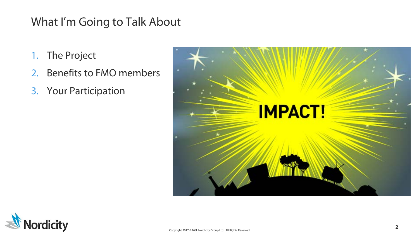## What I'm Going to Talk About

- 1. The Project
- 2. Benefits to FMO members
- 3. Your Participation



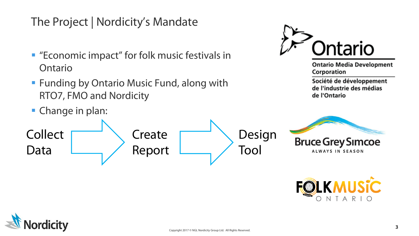# The Project | Nordicity's Mandate

- "Economic impact" for folk music festivals in Ontario
- **Funding by Ontario Music Fund, along with** RTO7, FMO and Nordicity
- **Change in plan:**



**Ontario Media Development** Corporation

Société de développement de l'industrie des médias de l'Ontario





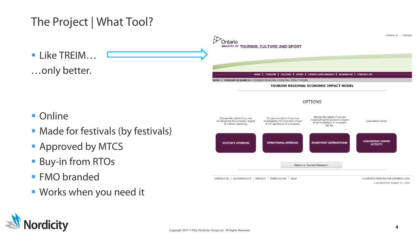

**Works when you need it** 

dicity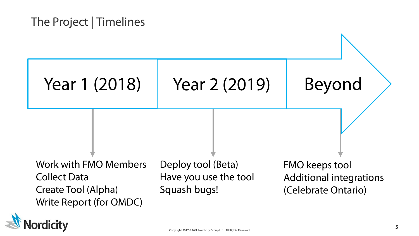## The Project | Timelines



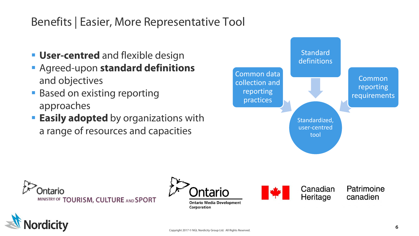# Benefits | Easier, More Representative Tool

- **User-centred** and flexible design
- Agreed-upon **standard definitions**  and objectives
- **Based on existing reporting** approaches
- **Easily adopted** by organizations with a range of resources and capacities









Canadian Patrimoine Heritage canadien

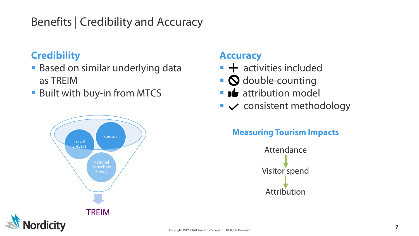# Benefits | Credibility and Accuracy

#### **Credibility**

- **Based on similar underlying data** as TREIM
- Built with buy-in from MTCS



#### **Accuracy**

- $\blacksquare$   $\blacktriangle$  activities included
- **O** double-counting
- $\blacksquare$   $\blacksquare$  attribution model
- $\blacktriangleright\blacktriangleright$  consistent methodology

#### **Measuring Tourism Impacts**

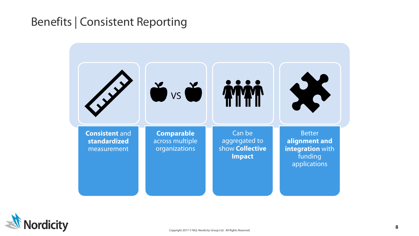### Benefits | Consistent Reporting



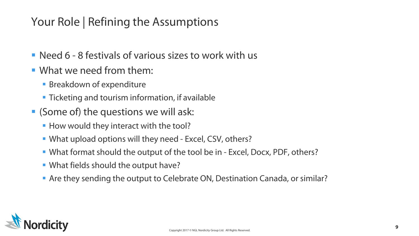# Your Role | Refining the Assumptions

- Need 6 8 festivals of various sizes to work with us
- What we need from them:
	- **Breakdown of expenditure**
	- **Ticketing and tourism information, if available**
- (Some of) the questions we will ask:
	- **How would they interact with the tool?**
	- What upload options will they need Excel, CSV, others?
	- What format should the output of the tool be in Excel, Docx, PDF, others?
	- What fields should the output have?
	- Are they sending the output to Celebrate ON, Destination Canada, or similar?

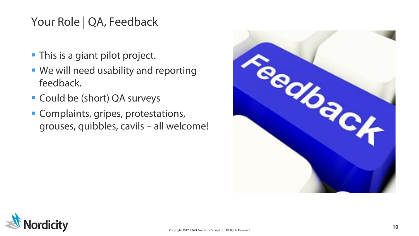# Your Role | QA, Feedback

- **This is a giant pilot project.**
- We will need usability and reporting feedback.
- Could be (short) QA surveys
- **Complaints, gripes, protestations,** grouses, quibbles, cavils – all welcome!